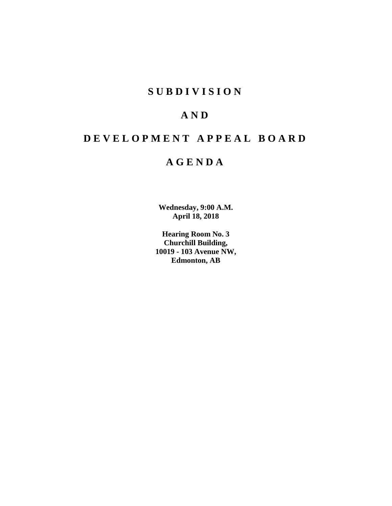# **SUBDIVISION**

# **AND**

# **DEVELOPMENT APPEAL BOARD**

# **AGENDA**

**Wednesday, 9:00 A.M. April 18, 2018**

**Hearing Room No. 3 Churchill Building, 10019 - 103 Avenue NW, Edmonton, AB**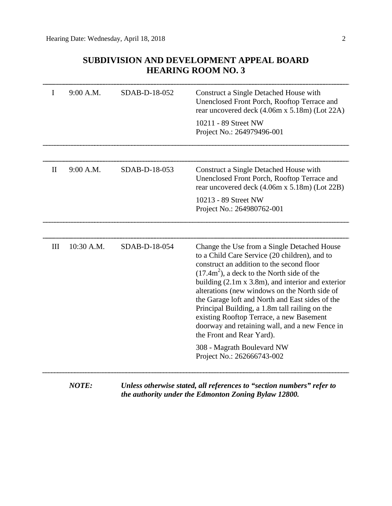# **SUBDIVISION AND DEVELOPMENT APPEAL BOARD HEARING ROOM NO. 3**

| I            | 9:00 A.M.    | SDAB-D-18-052 | Construct a Single Detached House with<br>Unenclosed Front Porch, Rooftop Terrace and<br>rear uncovered deck (4.06m x 5.18m) (Lot 22A)<br>10211 - 89 Street NW                                                                                                                                                                                                                                                                                                                                                                          |
|--------------|--------------|---------------|-----------------------------------------------------------------------------------------------------------------------------------------------------------------------------------------------------------------------------------------------------------------------------------------------------------------------------------------------------------------------------------------------------------------------------------------------------------------------------------------------------------------------------------------|
|              |              |               | Project No.: 264979496-001                                                                                                                                                                                                                                                                                                                                                                                                                                                                                                              |
|              |              |               |                                                                                                                                                                                                                                                                                                                                                                                                                                                                                                                                         |
| $\mathbf{I}$ | 9:00 A.M.    | SDAB-D-18-053 | Construct a Single Detached House with<br>Unenclosed Front Porch, Rooftop Terrace and<br>rear uncovered deck (4.06m x 5.18m) (Lot 22B)                                                                                                                                                                                                                                                                                                                                                                                                  |
|              |              |               | 10213 - 89 Street NW<br>Project No.: 264980762-001                                                                                                                                                                                                                                                                                                                                                                                                                                                                                      |
|              |              |               |                                                                                                                                                                                                                                                                                                                                                                                                                                                                                                                                         |
| III          | 10:30 A.M.   | SDAB-D-18-054 | Change the Use from a Single Detached House<br>to a Child Care Service (20 children), and to<br>construct an addition to the second floor<br>$(17.4m2)$ , a deck to the North side of the<br>building $(2.1m \times 3.8m)$ , and interior and exterior<br>alterations (new windows on the North side of<br>the Garage loft and North and East sides of the<br>Principal Building, a 1.8m tall railing on the<br>existing Rooftop Terrace, a new Basement<br>doorway and retaining wall, and a new Fence in<br>the Front and Rear Yard). |
|              |              |               | 308 - Magrath Boulevard NW<br>Project No.: 262666743-002                                                                                                                                                                                                                                                                                                                                                                                                                                                                                |
|              | <b>NOTE:</b> |               | Unless otherwise stated, all references to "section numbers" refer to                                                                                                                                                                                                                                                                                                                                                                                                                                                                   |

*the authority under the Edmonton Zoning Bylaw 12800.*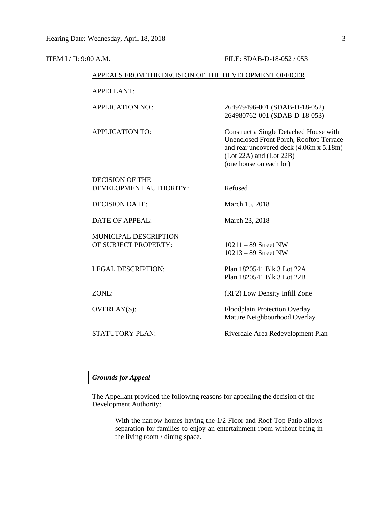| ITEM I / II: 9:00 A.M.                               |                                                  | FILE: SDAB-D-18-052 / 053                                                                                                                                                                     |
|------------------------------------------------------|--------------------------------------------------|-----------------------------------------------------------------------------------------------------------------------------------------------------------------------------------------------|
| APPEALS FROM THE DECISION OF THE DEVELOPMENT OFFICER |                                                  |                                                                                                                                                                                               |
|                                                      | <b>APPELLANT:</b>                                |                                                                                                                                                                                               |
|                                                      | <b>APPLICATION NO.:</b>                          | 264979496-001 (SDAB-D-18-052)<br>264980762-001 (SDAB-D-18-053)                                                                                                                                |
|                                                      | <b>APPLICATION TO:</b>                           | Construct a Single Detached House with<br><b>Unenclosed Front Porch, Rooftop Terrace</b><br>and rear uncovered deck (4.06m x 5.18m)<br>$(Lot 22A)$ and $(Lot 22B)$<br>(one house on each lot) |
|                                                      | <b>DECISION OF THE</b><br>DEVELOPMENT AUTHORITY: | Refused                                                                                                                                                                                       |
|                                                      | <b>DECISION DATE:</b>                            | March 15, 2018                                                                                                                                                                                |
|                                                      | <b>DATE OF APPEAL:</b>                           | March 23, 2018                                                                                                                                                                                |
|                                                      | MUNICIPAL DESCRIPTION<br>OF SUBJECT PROPERTY:    | $10211 - 89$ Street NW<br>$10213 - 89$ Street NW                                                                                                                                              |
|                                                      | <b>LEGAL DESCRIPTION:</b>                        | Plan 1820541 Blk 3 Lot 22A<br>Plan 1820541 Blk 3 Lot 22B                                                                                                                                      |
|                                                      | ZONE:                                            | (RF2) Low Density Infill Zone                                                                                                                                                                 |
|                                                      | <b>OVERLAY(S):</b>                               | Floodplain Protection Overlay<br>Mature Neighbourhood Overlay                                                                                                                                 |
|                                                      | STATUTORY PLAN:                                  | Riverdale Area Redevelopment Plan                                                                                                                                                             |
|                                                      |                                                  |                                                                                                                                                                                               |

# *Grounds for Appeal*

The Appellant provided the following reasons for appealing the decision of the Development Authority:

> With the narrow homes having the 1/2 Floor and Roof Top Patio allows separation for families to enjoy an entertainment room without being in the living room / dining space.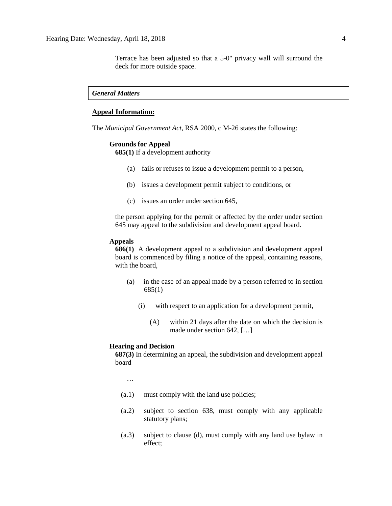Terrace has been adjusted so that a 5-0" privacy wall will surround the deck for more outside space.

### *General Matters*

# **Appeal Information:**

The *Municipal Government Act*, RSA 2000, c M-26 states the following:

### **Grounds for Appeal**

**685(1)** If a development authority

- (a) fails or refuses to issue a development permit to a person,
- (b) issues a development permit subject to conditions, or
- (c) issues an order under section 645,

the person applying for the permit or affected by the order under section 645 may appeal to the subdivision and development appeal board.

#### **Appeals**

**686(1)** A development appeal to a subdivision and development appeal board is commenced by filing a notice of the appeal, containing reasons, with the board,

- (a) in the case of an appeal made by a person referred to in section 685(1)
	- (i) with respect to an application for a development permit,
		- (A) within 21 days after the date on which the decision is made under section 642, […]

### **Hearing and Decision**

**687(3)** In determining an appeal, the subdivision and development appeal board

…

- (a.1) must comply with the land use policies;
- (a.2) subject to section 638, must comply with any applicable statutory plans;
- (a.3) subject to clause (d), must comply with any land use bylaw in effect;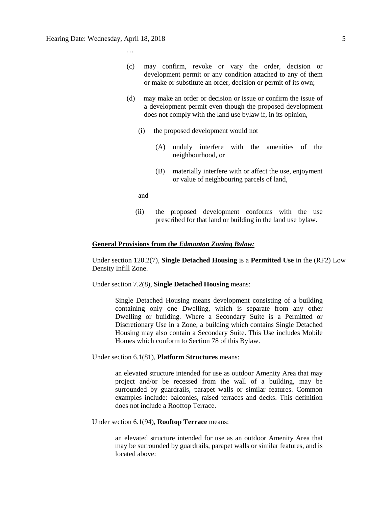…

- (c) may confirm, revoke or vary the order, decision or development permit or any condition attached to any of them or make or substitute an order, decision or permit of its own;
- (d) may make an order or decision or issue or confirm the issue of a development permit even though the proposed development does not comply with the land use bylaw if, in its opinion,
	- (i) the proposed development would not
		- (A) unduly interfere with the amenities of the neighbourhood, or
		- (B) materially interfere with or affect the use, enjoyment or value of neighbouring parcels of land,

and

(ii) the proposed development conforms with the use prescribed for that land or building in the land use bylaw.

### **General Provisions from the** *Edmonton Zoning Bylaw:*

Under section 120.2(7), **Single Detached Housing** is a **Permitted Use** in the (RF2) Low Density Infill Zone.

Under section 7.2(8), **Single Detached Housing** means:

Single Detached Housing means development consisting of a building containing only one Dwelling, which is separate from any other Dwelling or building. Where a Secondary Suite is a Permitted or Discretionary Use in a Zone, a building which contains Single Detached Housing may also contain a Secondary Suite. This Use includes Mobile Homes which conform to Section 78 of this Bylaw.

Under section 6.1(81), **Platform Structures** means:

an elevated structure intended for use as outdoor Amenity Area that may project and/or be recessed from the wall of a building, may be surrounded by guardrails, parapet walls or similar features. Common examples include: balconies, raised terraces and decks. This definition does not include a Rooftop Terrace.

Under section 6.1(94), **Rooftop Terrace** means:

an elevated structure intended for use as an outdoor Amenity Area that may be surrounded by guardrails, parapet walls or similar features, and is located above: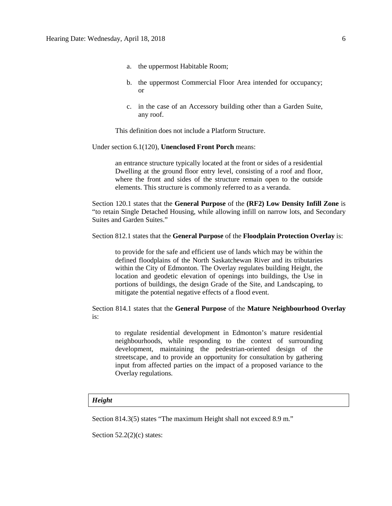- a. the uppermost Habitable Room;
- b. the uppermost Commercial Floor Area intended for occupancy; or
- c. in the case of an Accessory building other than a Garden Suite, any roof.

This definition does not include a Platform Structure.

Under section 6.1(120), **Unenclosed Front Porch** means:

an entrance structure typically located at the front or sides of a residential Dwelling at the ground floor entry level, consisting of a roof and floor, where the front and sides of the structure remain open to the outside elements. This structure is commonly referred to as a veranda.

Section 120.1 states that the **General Purpose** of the **(RF2) Low Density Infill Zone** is "to retain Single Detached Housing, while allowing infill on narrow lots, and Secondary Suites and Garden Suites."

Section 812.1 states that the **General Purpose** of the **Floodplain Protection Overlay** is:

to provide for the safe and efficient use of lands which may be within the defined floodplains of the North Saskatchewan River and its tributaries within the City of Edmonton. The Overlay regulates building Height, the location and geodetic elevation of openings into buildings, the Use in portions of buildings, the design Grade of the Site, and Landscaping, to mitigate the potential negative effects of a flood event.

Section 814.1 states that the **General Purpose** of the **Mature Neighbourhood Overlay** is:

to regulate residential development in Edmonton's mature residential neighbourhoods, while responding to the context of surrounding development, maintaining the pedestrian-oriented design of the streetscape, and to provide an opportunity for consultation by gathering input from affected parties on the impact of a proposed variance to the Overlay regulations.

## *Height*

Section 814.3(5) states "The maximum Height shall not exceed 8.9 m."

Section  $52.2(2)(c)$  states: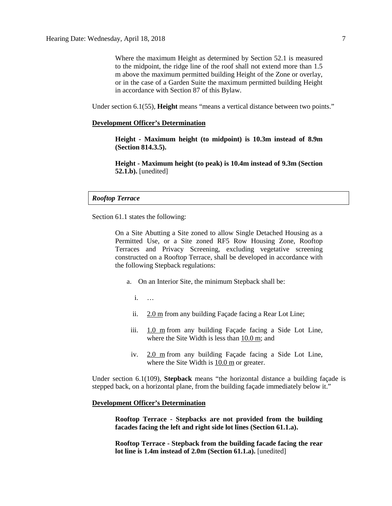Where the maximum Height as determined by Section 52.1 is measured to the midpoint, the ridge line of the roof shall not extend more than 1.5 m above the maximum permitted building Height of the Zone or overlay, or in the case of a Garden Suite the maximum permitted building Height in accordance with Section 87 of this Bylaw.

Under section 6.1(55), **Height** means "means a vertical distance between two points."

### **Development Officer's Determination**

**Height - Maximum height (to midpoint) is 10.3m instead of 8.9m (Section 814.3.5).**

**Height - Maximum height (to peak) is 10.4m instead of 9.3m (Section 52.1.b).** [unedited]

### *Rooftop Terrace*

Section 61.1 states the following:

On a Site Abutting a Site zoned to allow Single Detached Housing as a Permitted Use, or a Site zoned RF5 Row Housing Zone, Rooftop Terraces and Privacy Screening, excluding vegetative screening constructed on a Rooftop Terrace, shall be developed in accordance with the following Stepback regulations:

- a. On an Interior Site, the minimum Stepback shall be:
	- i. …
	- ii. [2.0 m](http://webdocs.edmonton.ca/InfraPlan/zoningbylaw/ZoningBylaw/Measurements/im2.htm) from any building Façade facing a Rear Lot Line;
	- iii. [1.0 m](javascript:void(0);) from any building Façade facing a Side Lot Line, where the Site Width is less than [10.0 m;](javascript:void(0);) and
	- iv. [2.0 m](http://webdocs.edmonton.ca/InfraPlan/zoningbylaw/ZoningBylaw/Measurements/im2.htm) from any building Façade facing a Side Lot Line, where the Site Width is [10.0 m](javascript:void(0);) or greater.

Under section 6.1(109), **Stepback** means "the horizontal distance a building façade is stepped back, on a horizontal plane, from the building façade immediately below it."

### **Development Officer's Determination**

**Rooftop Terrace - Stepbacks are not provided from the building facades facing the left and right side lot lines (Section 61.1.a).** 

**Rooftop Terrace - Stepback from the building facade facing the rear lot line is 1.4m instead of 2.0m (Section 61.1.a).** [unedited]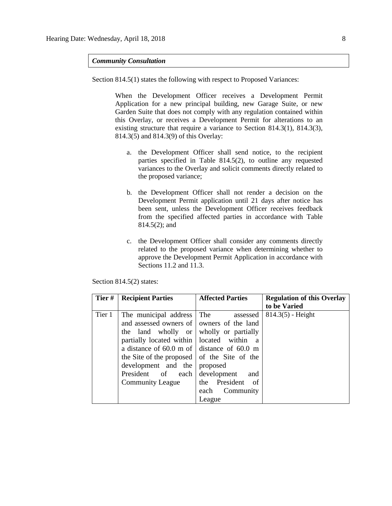### *Community Consultation*

Section 814.5(1) states the following with respect to Proposed Variances:

When the Development Officer receives a Development Permit Application for a new principal building, new Garage Suite, or new Garden Suite that does not comply with any regulation contained within this Overlay, or receives a Development Permit for alterations to an existing structure that require a variance to Section 814.3(1), 814.3(3), 814.3(5) and 814.3(9) of this Overlay:

- a. the Development Officer shall send notice, to the recipient parties specified in Table 814.5(2), to outline any requested variances to the Overlay and solicit comments directly related to the proposed variance;
- b. the Development Officer shall not render a decision on the Development Permit application until 21 days after notice has been sent, unless the Development Officer receives feedback from the specified affected parties in accordance with Table 814.5(2); and
- c. the Development Officer shall consider any comments directly related to the proposed variance when determining whether to approve the Development Permit Application in accordance with Sections 11.2 and 11.3.

| Tier#  | <b>Recipient Parties</b>                                                                                                                                                                                                                                                                                                                                         | <b>Affected Parties</b>                                                                   | <b>Regulation of this Overlay</b><br>to be Varied |
|--------|------------------------------------------------------------------------------------------------------------------------------------------------------------------------------------------------------------------------------------------------------------------------------------------------------------------------------------------------------------------|-------------------------------------------------------------------------------------------|---------------------------------------------------|
| Tier 1 | The municipal address<br>and assessed owners of   owners of the land<br>the land wholly or wholly or partially<br>partially located within   located within<br>a distance of $60.0$ m of distance of $60.0$ m<br>the Site of the proposed $\vert$ of the Site of the<br>development and the proposed<br>President of each development<br><b>Community League</b> | The<br>assessed<br><sub>a</sub><br>and<br>the President<br>of<br>each Community<br>League | $814.3(5)$ - Height                               |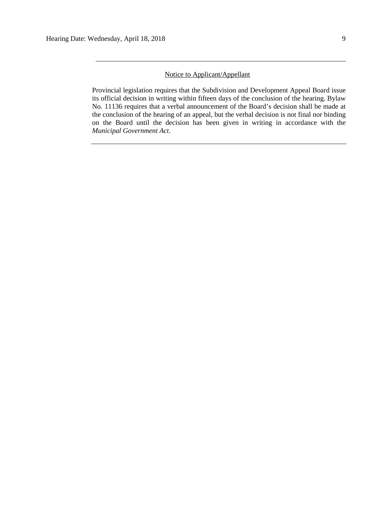# Notice to Applicant/Appellant

Provincial legislation requires that the Subdivision and Development Appeal Board issue its official decision in writing within fifteen days of the conclusion of the hearing. Bylaw No. 11136 requires that a verbal announcement of the Board's decision shall be made at the conclusion of the hearing of an appeal, but the verbal decision is not final nor binding on the Board until the decision has been given in writing in accordance with the *Municipal Government Act*.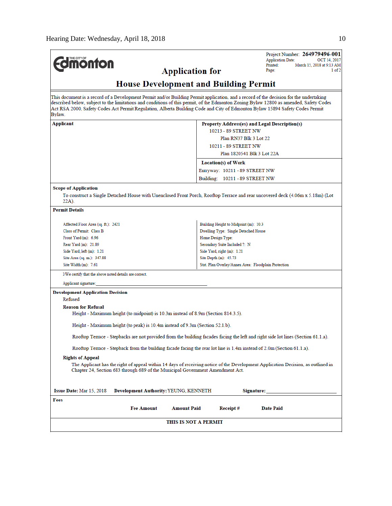| <b>monton</b>                                                                                                                                                                                                                                                                                                                                                                                                              | <b>Application for</b>                                                                                                            | Project Number: 264979496-001<br><b>Application Date:</b><br>OCT 14, 2017<br>Printed:<br>March 15, 2018 at 9:13 AM<br>Page:<br>1 of 2 |  |  |  |  |
|----------------------------------------------------------------------------------------------------------------------------------------------------------------------------------------------------------------------------------------------------------------------------------------------------------------------------------------------------------------------------------------------------------------------------|-----------------------------------------------------------------------------------------------------------------------------------|---------------------------------------------------------------------------------------------------------------------------------------|--|--|--|--|
| <b>House Development and Building Permit</b>                                                                                                                                                                                                                                                                                                                                                                               |                                                                                                                                   |                                                                                                                                       |  |  |  |  |
| This document is a record of a Development Permit and/or Building Permit application, and a record of the decision for the undertaking<br>described below, subject to the limitations and conditions of this permit, of the Edmonton Zoning Bylaw 12800 as amended, Safety Codes<br>Act RSA 2000, Safety Codes Act Permit Regulation, Alberta Building Code and City of Edmonton Bylaw 15894 Safety Codes Permit<br>Bylaw. |                                                                                                                                   |                                                                                                                                       |  |  |  |  |
| Applicant                                                                                                                                                                                                                                                                                                                                                                                                                  |                                                                                                                                   | Property Address(es) and Legal Description(s)                                                                                         |  |  |  |  |
|                                                                                                                                                                                                                                                                                                                                                                                                                            | 10213 - 89 STREET NW                                                                                                              |                                                                                                                                       |  |  |  |  |
|                                                                                                                                                                                                                                                                                                                                                                                                                            | Plan RN37 Blk 3 Lot 22                                                                                                            |                                                                                                                                       |  |  |  |  |
|                                                                                                                                                                                                                                                                                                                                                                                                                            | 10211 - 89 STREET NW                                                                                                              |                                                                                                                                       |  |  |  |  |
|                                                                                                                                                                                                                                                                                                                                                                                                                            |                                                                                                                                   | Plan 1820541 Blk 3 Lot 22A                                                                                                            |  |  |  |  |
|                                                                                                                                                                                                                                                                                                                                                                                                                            | Location(s) of Work                                                                                                               |                                                                                                                                       |  |  |  |  |
|                                                                                                                                                                                                                                                                                                                                                                                                                            | Entryway: 10211 - 89 STREET NW                                                                                                    |                                                                                                                                       |  |  |  |  |
|                                                                                                                                                                                                                                                                                                                                                                                                                            | Building: 10211 - 89 STREET NW                                                                                                    |                                                                                                                                       |  |  |  |  |
|                                                                                                                                                                                                                                                                                                                                                                                                                            |                                                                                                                                   |                                                                                                                                       |  |  |  |  |
| <b>Scope of Application</b><br>To construct a Single Detached House with Unenclosed Front Porch, Rooftop Terrace and rear uncovered deck (4.06m x 5.18m) (Lot<br>22A).                                                                                                                                                                                                                                                     |                                                                                                                                   |                                                                                                                                       |  |  |  |  |
| <b>Permit Details</b>                                                                                                                                                                                                                                                                                                                                                                                                      |                                                                                                                                   |                                                                                                                                       |  |  |  |  |
|                                                                                                                                                                                                                                                                                                                                                                                                                            |                                                                                                                                   |                                                                                                                                       |  |  |  |  |
| Affected Floor Area (sq. ft.): 2421                                                                                                                                                                                                                                                                                                                                                                                        | Building Height to Midpoint (m): 10.3                                                                                             |                                                                                                                                       |  |  |  |  |
| Class of Permit: Class B                                                                                                                                                                                                                                                                                                                                                                                                   | Dwelling Type: Single Detached House                                                                                              |                                                                                                                                       |  |  |  |  |
| Front Yard $(m)$ : 6.96                                                                                                                                                                                                                                                                                                                                                                                                    | Home Design Type:                                                                                                                 |                                                                                                                                       |  |  |  |  |
| Rear Yard (m): 21.89<br>Secondary Suite Included ?: N                                                                                                                                                                                                                                                                                                                                                                      |                                                                                                                                   |                                                                                                                                       |  |  |  |  |
| Side Yard, left (m): 1.21<br>Side Yard, right (m): 1.21<br>Site Area (sq. m.): 347.88<br>Site Depth (m): 45.73                                                                                                                                                                                                                                                                                                             |                                                                                                                                   |                                                                                                                                       |  |  |  |  |
| Site Width (m): 7.61                                                                                                                                                                                                                                                                                                                                                                                                       | Stat. Plan Overlay/Annex Area: Floodplain Protection                                                                              |                                                                                                                                       |  |  |  |  |
| I/We certify that the above noted details are correct.                                                                                                                                                                                                                                                                                                                                                                     |                                                                                                                                   |                                                                                                                                       |  |  |  |  |
| Applicant signature:                                                                                                                                                                                                                                                                                                                                                                                                       |                                                                                                                                   |                                                                                                                                       |  |  |  |  |
| <b>Development Application Decision</b>                                                                                                                                                                                                                                                                                                                                                                                    |                                                                                                                                   |                                                                                                                                       |  |  |  |  |
| Refused                                                                                                                                                                                                                                                                                                                                                                                                                    |                                                                                                                                   |                                                                                                                                       |  |  |  |  |
| <b>Reason for Refusal</b><br>Height - Maximum height (to midpoint) is 10.3m instead of 8.9m (Section 814.3.5).                                                                                                                                                                                                                                                                                                             |                                                                                                                                   |                                                                                                                                       |  |  |  |  |
| Height - Maximum height (to peak) is 10.4m instead of 9.3m (Section 52.1.b).                                                                                                                                                                                                                                                                                                                                               |                                                                                                                                   |                                                                                                                                       |  |  |  |  |
|                                                                                                                                                                                                                                                                                                                                                                                                                            | Rooftop Terrace - Stepbacks are not provided from the building facades facing the left and right side lot lines (Section 61.1.a). |                                                                                                                                       |  |  |  |  |
| Rooftop Terrace - Stepback from the building facade facing the rear lot line is 1.4m instead of 2.0m (Section 61.1.a).                                                                                                                                                                                                                                                                                                     |                                                                                                                                   |                                                                                                                                       |  |  |  |  |
| <b>Rights of Appeal</b>                                                                                                                                                                                                                                                                                                                                                                                                    |                                                                                                                                   |                                                                                                                                       |  |  |  |  |
| The Applicant has the right of appeal within 14 days of receiving notice of the Development Application Decision, as outlined in<br>Chapter 24, Section 683 through 689 of the Municipal Government Amendment Act.                                                                                                                                                                                                         |                                                                                                                                   |                                                                                                                                       |  |  |  |  |
| Issue Date: Mar 15, 2018                                                                                                                                                                                                                                                                                                                                                                                                   | Development Authority: YEUNG, KENNETH                                                                                             | Signature:                                                                                                                            |  |  |  |  |
| Fees                                                                                                                                                                                                                                                                                                                                                                                                                       |                                                                                                                                   |                                                                                                                                       |  |  |  |  |
| <b>Fee Amount</b>                                                                                                                                                                                                                                                                                                                                                                                                          | <b>Amount Paid</b><br>Receipt#                                                                                                    | <b>Date Paid</b>                                                                                                                      |  |  |  |  |
|                                                                                                                                                                                                                                                                                                                                                                                                                            | THIS IS NOT A PERMIT                                                                                                              |                                                                                                                                       |  |  |  |  |
|                                                                                                                                                                                                                                                                                                                                                                                                                            |                                                                                                                                   |                                                                                                                                       |  |  |  |  |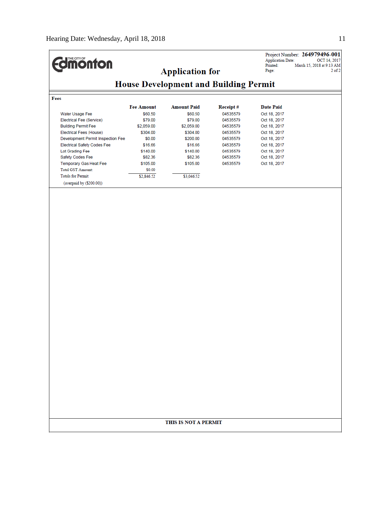| <b>Umönton</b><br><b>Application Date:</b><br>Printed:<br>March 15, 2018 at 9:13 AM<br><b>Application for</b><br>Page:<br><b>House Development and Building Permit</b><br>Fees<br><b>Fee Amount</b><br><b>Amount Paid</b><br><b>Receipt#</b><br><b>Date Paid</b><br>Water Usage Fee<br>\$60.50<br>\$60.50<br>04535579<br>Oct 18, 2017<br>Electrical Fee (Service)<br>\$79.00<br>\$79.00<br>04535579<br>Oct 18, 2017<br><b>Building Permit Fee</b><br>\$2,059.00<br>\$2,059.00<br>04535579<br>Oct 18, 2017<br><b>Electrical Fees (House)</b><br>\$304.00<br>\$304.00<br>04535579<br>Oct 18, 2017<br>Development Permit Inspection Fee<br>\$0.00<br>\$200.00<br>04535579<br>Oct 18, 2017<br><b>Electrical Safety Codes Fee</b><br>\$16.66<br>\$16.66<br>04535579<br>Oct 18, 2017<br>Lot Grading Fee<br>\$140.00<br>\$140.00<br>04535579<br>Oct 18, 2017<br>Safety Codes Fee<br>\$82.36<br>\$82.36<br>04535579<br>Oct 18, 2017<br>Temporary Gas Heat Fee<br>\$105.00<br>\$105.00<br>04535579<br>Oct 18, 2017<br><b>Total GST Amount:</b><br>\$0.00<br><b>Totals for Permit:</b><br>\$2,846.52<br>\$3,046.52<br>(overpaid by (\$200.00))<br>THIS IS NOT A PERMIT |  |  | Project Number: 264979496-001 |
|--------------------------------------------------------------------------------------------------------------------------------------------------------------------------------------------------------------------------------------------------------------------------------------------------------------------------------------------------------------------------------------------------------------------------------------------------------------------------------------------------------------------------------------------------------------------------------------------------------------------------------------------------------------------------------------------------------------------------------------------------------------------------------------------------------------------------------------------------------------------------------------------------------------------------------------------------------------------------------------------------------------------------------------------------------------------------------------------------------------------------------------------------------------|--|--|-------------------------------|
|                                                                                                                                                                                                                                                                                                                                                                                                                                                                                                                                                                                                                                                                                                                                                                                                                                                                                                                                                                                                                                                                                                                                                              |  |  | OCT 14, 2017                  |
|                                                                                                                                                                                                                                                                                                                                                                                                                                                                                                                                                                                                                                                                                                                                                                                                                                                                                                                                                                                                                                                                                                                                                              |  |  | $2$ of $2$                    |
|                                                                                                                                                                                                                                                                                                                                                                                                                                                                                                                                                                                                                                                                                                                                                                                                                                                                                                                                                                                                                                                                                                                                                              |  |  |                               |
|                                                                                                                                                                                                                                                                                                                                                                                                                                                                                                                                                                                                                                                                                                                                                                                                                                                                                                                                                                                                                                                                                                                                                              |  |  |                               |
|                                                                                                                                                                                                                                                                                                                                                                                                                                                                                                                                                                                                                                                                                                                                                                                                                                                                                                                                                                                                                                                                                                                                                              |  |  |                               |
|                                                                                                                                                                                                                                                                                                                                                                                                                                                                                                                                                                                                                                                                                                                                                                                                                                                                                                                                                                                                                                                                                                                                                              |  |  |                               |
|                                                                                                                                                                                                                                                                                                                                                                                                                                                                                                                                                                                                                                                                                                                                                                                                                                                                                                                                                                                                                                                                                                                                                              |  |  |                               |
|                                                                                                                                                                                                                                                                                                                                                                                                                                                                                                                                                                                                                                                                                                                                                                                                                                                                                                                                                                                                                                                                                                                                                              |  |  |                               |
|                                                                                                                                                                                                                                                                                                                                                                                                                                                                                                                                                                                                                                                                                                                                                                                                                                                                                                                                                                                                                                                                                                                                                              |  |  |                               |
|                                                                                                                                                                                                                                                                                                                                                                                                                                                                                                                                                                                                                                                                                                                                                                                                                                                                                                                                                                                                                                                                                                                                                              |  |  |                               |
|                                                                                                                                                                                                                                                                                                                                                                                                                                                                                                                                                                                                                                                                                                                                                                                                                                                                                                                                                                                                                                                                                                                                                              |  |  |                               |
|                                                                                                                                                                                                                                                                                                                                                                                                                                                                                                                                                                                                                                                                                                                                                                                                                                                                                                                                                                                                                                                                                                                                                              |  |  |                               |
|                                                                                                                                                                                                                                                                                                                                                                                                                                                                                                                                                                                                                                                                                                                                                                                                                                                                                                                                                                                                                                                                                                                                                              |  |  |                               |
|                                                                                                                                                                                                                                                                                                                                                                                                                                                                                                                                                                                                                                                                                                                                                                                                                                                                                                                                                                                                                                                                                                                                                              |  |  |                               |
|                                                                                                                                                                                                                                                                                                                                                                                                                                                                                                                                                                                                                                                                                                                                                                                                                                                                                                                                                                                                                                                                                                                                                              |  |  |                               |
|                                                                                                                                                                                                                                                                                                                                                                                                                                                                                                                                                                                                                                                                                                                                                                                                                                                                                                                                                                                                                                                                                                                                                              |  |  |                               |
|                                                                                                                                                                                                                                                                                                                                                                                                                                                                                                                                                                                                                                                                                                                                                                                                                                                                                                                                                                                                                                                                                                                                                              |  |  |                               |
|                                                                                                                                                                                                                                                                                                                                                                                                                                                                                                                                                                                                                                                                                                                                                                                                                                                                                                                                                                                                                                                                                                                                                              |  |  |                               |
|                                                                                                                                                                                                                                                                                                                                                                                                                                                                                                                                                                                                                                                                                                                                                                                                                                                                                                                                                                                                                                                                                                                                                              |  |  |                               |
|                                                                                                                                                                                                                                                                                                                                                                                                                                                                                                                                                                                                                                                                                                                                                                                                                                                                                                                                                                                                                                                                                                                                                              |  |  |                               |
|                                                                                                                                                                                                                                                                                                                                                                                                                                                                                                                                                                                                                                                                                                                                                                                                                                                                                                                                                                                                                                                                                                                                                              |  |  |                               |
|                                                                                                                                                                                                                                                                                                                                                                                                                                                                                                                                                                                                                                                                                                                                                                                                                                                                                                                                                                                                                                                                                                                                                              |  |  |                               |
|                                                                                                                                                                                                                                                                                                                                                                                                                                                                                                                                                                                                                                                                                                                                                                                                                                                                                                                                                                                                                                                                                                                                                              |  |  |                               |
|                                                                                                                                                                                                                                                                                                                                                                                                                                                                                                                                                                                                                                                                                                                                                                                                                                                                                                                                                                                                                                                                                                                                                              |  |  |                               |
|                                                                                                                                                                                                                                                                                                                                                                                                                                                                                                                                                                                                                                                                                                                                                                                                                                                                                                                                                                                                                                                                                                                                                              |  |  |                               |
|                                                                                                                                                                                                                                                                                                                                                                                                                                                                                                                                                                                                                                                                                                                                                                                                                                                                                                                                                                                                                                                                                                                                                              |  |  |                               |
|                                                                                                                                                                                                                                                                                                                                                                                                                                                                                                                                                                                                                                                                                                                                                                                                                                                                                                                                                                                                                                                                                                                                                              |  |  |                               |
|                                                                                                                                                                                                                                                                                                                                                                                                                                                                                                                                                                                                                                                                                                                                                                                                                                                                                                                                                                                                                                                                                                                                                              |  |  |                               |
|                                                                                                                                                                                                                                                                                                                                                                                                                                                                                                                                                                                                                                                                                                                                                                                                                                                                                                                                                                                                                                                                                                                                                              |  |  |                               |
|                                                                                                                                                                                                                                                                                                                                                                                                                                                                                                                                                                                                                                                                                                                                                                                                                                                                                                                                                                                                                                                                                                                                                              |  |  |                               |
|                                                                                                                                                                                                                                                                                                                                                                                                                                                                                                                                                                                                                                                                                                                                                                                                                                                                                                                                                                                                                                                                                                                                                              |  |  |                               |
|                                                                                                                                                                                                                                                                                                                                                                                                                                                                                                                                                                                                                                                                                                                                                                                                                                                                                                                                                                                                                                                                                                                                                              |  |  |                               |
|                                                                                                                                                                                                                                                                                                                                                                                                                                                                                                                                                                                                                                                                                                                                                                                                                                                                                                                                                                                                                                                                                                                                                              |  |  |                               |
|                                                                                                                                                                                                                                                                                                                                                                                                                                                                                                                                                                                                                                                                                                                                                                                                                                                                                                                                                                                                                                                                                                                                                              |  |  |                               |
|                                                                                                                                                                                                                                                                                                                                                                                                                                                                                                                                                                                                                                                                                                                                                                                                                                                                                                                                                                                                                                                                                                                                                              |  |  |                               |
|                                                                                                                                                                                                                                                                                                                                                                                                                                                                                                                                                                                                                                                                                                                                                                                                                                                                                                                                                                                                                                                                                                                                                              |  |  |                               |
|                                                                                                                                                                                                                                                                                                                                                                                                                                                                                                                                                                                                                                                                                                                                                                                                                                                                                                                                                                                                                                                                                                                                                              |  |  |                               |
|                                                                                                                                                                                                                                                                                                                                                                                                                                                                                                                                                                                                                                                                                                                                                                                                                                                                                                                                                                                                                                                                                                                                                              |  |  |                               |
|                                                                                                                                                                                                                                                                                                                                                                                                                                                                                                                                                                                                                                                                                                                                                                                                                                                                                                                                                                                                                                                                                                                                                              |  |  |                               |
|                                                                                                                                                                                                                                                                                                                                                                                                                                                                                                                                                                                                                                                                                                                                                                                                                                                                                                                                                                                                                                                                                                                                                              |  |  |                               |
|                                                                                                                                                                                                                                                                                                                                                                                                                                                                                                                                                                                                                                                                                                                                                                                                                                                                                                                                                                                                                                                                                                                                                              |  |  |                               |
|                                                                                                                                                                                                                                                                                                                                                                                                                                                                                                                                                                                                                                                                                                                                                                                                                                                                                                                                                                                                                                                                                                                                                              |  |  |                               |
|                                                                                                                                                                                                                                                                                                                                                                                                                                                                                                                                                                                                                                                                                                                                                                                                                                                                                                                                                                                                                                                                                                                                                              |  |  |                               |
|                                                                                                                                                                                                                                                                                                                                                                                                                                                                                                                                                                                                                                                                                                                                                                                                                                                                                                                                                                                                                                                                                                                                                              |  |  |                               |
|                                                                                                                                                                                                                                                                                                                                                                                                                                                                                                                                                                                                                                                                                                                                                                                                                                                                                                                                                                                                                                                                                                                                                              |  |  |                               |
|                                                                                                                                                                                                                                                                                                                                                                                                                                                                                                                                                                                                                                                                                                                                                                                                                                                                                                                                                                                                                                                                                                                                                              |  |  |                               |
|                                                                                                                                                                                                                                                                                                                                                                                                                                                                                                                                                                                                                                                                                                                                                                                                                                                                                                                                                                                                                                                                                                                                                              |  |  |                               |
|                                                                                                                                                                                                                                                                                                                                                                                                                                                                                                                                                                                                                                                                                                                                                                                                                                                                                                                                                                                                                                                                                                                                                              |  |  |                               |
|                                                                                                                                                                                                                                                                                                                                                                                                                                                                                                                                                                                                                                                                                                                                                                                                                                                                                                                                                                                                                                                                                                                                                              |  |  |                               |
|                                                                                                                                                                                                                                                                                                                                                                                                                                                                                                                                                                                                                                                                                                                                                                                                                                                                                                                                                                                                                                                                                                                                                              |  |  |                               |
|                                                                                                                                                                                                                                                                                                                                                                                                                                                                                                                                                                                                                                                                                                                                                                                                                                                                                                                                                                                                                                                                                                                                                              |  |  |                               |
|                                                                                                                                                                                                                                                                                                                                                                                                                                                                                                                                                                                                                                                                                                                                                                                                                                                                                                                                                                                                                                                                                                                                                              |  |  |                               |
|                                                                                                                                                                                                                                                                                                                                                                                                                                                                                                                                                                                                                                                                                                                                                                                                                                                                                                                                                                                                                                                                                                                                                              |  |  |                               |
|                                                                                                                                                                                                                                                                                                                                                                                                                                                                                                                                                                                                                                                                                                                                                                                                                                                                                                                                                                                                                                                                                                                                                              |  |  |                               |
|                                                                                                                                                                                                                                                                                                                                                                                                                                                                                                                                                                                                                                                                                                                                                                                                                                                                                                                                                                                                                                                                                                                                                              |  |  |                               |
|                                                                                                                                                                                                                                                                                                                                                                                                                                                                                                                                                                                                                                                                                                                                                                                                                                                                                                                                                                                                                                                                                                                                                              |  |  |                               |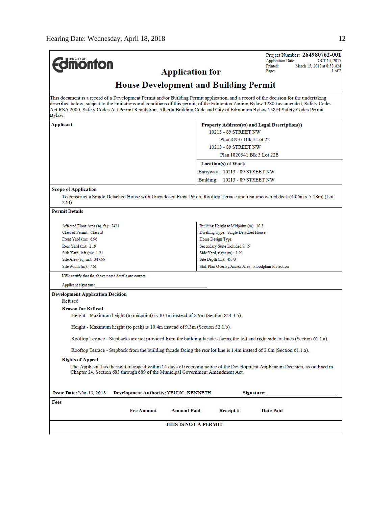| THE CITY OF                                                                                                                                                                                                                                                                                                                                                                                                                | Project Number: 264980762-001<br><b>Application Date:</b><br>OCT 14, 2017                                                         |  |  |  |  |  |
|----------------------------------------------------------------------------------------------------------------------------------------------------------------------------------------------------------------------------------------------------------------------------------------------------------------------------------------------------------------------------------------------------------------------------|-----------------------------------------------------------------------------------------------------------------------------------|--|--|--|--|--|
| <b>monton</b>                                                                                                                                                                                                                                                                                                                                                                                                              | Printed:<br>March 15, 2018 at 8:58 AM                                                                                             |  |  |  |  |  |
| <b>Application for</b>                                                                                                                                                                                                                                                                                                                                                                                                     | 1 of 2<br>Page:                                                                                                                   |  |  |  |  |  |
|                                                                                                                                                                                                                                                                                                                                                                                                                            | <b>House Development and Building Permit</b>                                                                                      |  |  |  |  |  |
| This document is a record of a Development Permit and/or Building Permit application, and a record of the decision for the undertaking<br>described below, subject to the limitations and conditions of this permit, of the Edmonton Zoning Bylaw 12800 as amended, Safety Codes<br>Act RSA 2000, Safety Codes Act Permit Regulation, Alberta Building Code and City of Edmonton Bylaw 15894 Safety Codes Permit<br>Bylaw. |                                                                                                                                   |  |  |  |  |  |
| Applicant                                                                                                                                                                                                                                                                                                                                                                                                                  | Property Address(es) and Legal Description(s)                                                                                     |  |  |  |  |  |
|                                                                                                                                                                                                                                                                                                                                                                                                                            | 10213 - 89 STREET NW                                                                                                              |  |  |  |  |  |
|                                                                                                                                                                                                                                                                                                                                                                                                                            | Plan RN37 Blk 3 Lot 22                                                                                                            |  |  |  |  |  |
|                                                                                                                                                                                                                                                                                                                                                                                                                            | 10213 - 89 STREET NW                                                                                                              |  |  |  |  |  |
|                                                                                                                                                                                                                                                                                                                                                                                                                            | Plan 1820541 Blk 3 Lot 22B                                                                                                        |  |  |  |  |  |
|                                                                                                                                                                                                                                                                                                                                                                                                                            | Location(s) of Work                                                                                                               |  |  |  |  |  |
|                                                                                                                                                                                                                                                                                                                                                                                                                            | Entryway: 10213 - 89 STREET NW                                                                                                    |  |  |  |  |  |
|                                                                                                                                                                                                                                                                                                                                                                                                                            | Building: 10213 - 89 STREET NW                                                                                                    |  |  |  |  |  |
|                                                                                                                                                                                                                                                                                                                                                                                                                            |                                                                                                                                   |  |  |  |  |  |
| <b>Scope of Application</b><br>$22B$ ).                                                                                                                                                                                                                                                                                                                                                                                    | To construct a Single Detached House with Unenclosed Front Porch, Rooftop Terrace and rear uncovered deck (4.06m x 5.18m) (Lot    |  |  |  |  |  |
| <b>Permit Details</b>                                                                                                                                                                                                                                                                                                                                                                                                      |                                                                                                                                   |  |  |  |  |  |
| Affected Floor Area (sq. ft.): 2421                                                                                                                                                                                                                                                                                                                                                                                        | Building Height to Midpoint (m): 10.3                                                                                             |  |  |  |  |  |
| Class of Permit: Class B                                                                                                                                                                                                                                                                                                                                                                                                   | Dwelling Type: Single Detached House                                                                                              |  |  |  |  |  |
| Front Yard (m): 6.96                                                                                                                                                                                                                                                                                                                                                                                                       | Home Design Type:                                                                                                                 |  |  |  |  |  |
| Rear Yard (m): 21.9                                                                                                                                                                                                                                                                                                                                                                                                        | Secondary Suite Included ?: N                                                                                                     |  |  |  |  |  |
| Side Yard, $left(m): 1.21$                                                                                                                                                                                                                                                                                                                                                                                                 | Side Yard, right (m): 1.21                                                                                                        |  |  |  |  |  |
| Site Area (sq. m.): 347.99                                                                                                                                                                                                                                                                                                                                                                                                 | Site Depth (m): 45.73                                                                                                             |  |  |  |  |  |
| Site Width $(m)$ : 7.61                                                                                                                                                                                                                                                                                                                                                                                                    | Stat. Plan Overlay/Annex Area: Floodplain Protection                                                                              |  |  |  |  |  |
| I/We certify that the above noted details are correct.                                                                                                                                                                                                                                                                                                                                                                     |                                                                                                                                   |  |  |  |  |  |
| Applicant signature:                                                                                                                                                                                                                                                                                                                                                                                                       |                                                                                                                                   |  |  |  |  |  |
| <b>Development Application Decision</b>                                                                                                                                                                                                                                                                                                                                                                                    |                                                                                                                                   |  |  |  |  |  |
| Refused                                                                                                                                                                                                                                                                                                                                                                                                                    |                                                                                                                                   |  |  |  |  |  |
| <b>Reason for Refusal</b>                                                                                                                                                                                                                                                                                                                                                                                                  |                                                                                                                                   |  |  |  |  |  |
| Height - Maximum height (to midpoint) is 10.3m instead of 8.9m (Section 814.3.5).                                                                                                                                                                                                                                                                                                                                          |                                                                                                                                   |  |  |  |  |  |
| Height - Maximum height (to peak) is 10.4m instead of 9.3m (Section 52.1.b).                                                                                                                                                                                                                                                                                                                                               |                                                                                                                                   |  |  |  |  |  |
|                                                                                                                                                                                                                                                                                                                                                                                                                            | Rooftop Terrace - Stepbacks are not provided from the building facades facing the left and right side lot lines (Section 61.1.a). |  |  |  |  |  |
| Rooftop Terrace - Stepback from the building facade facing the rear lot line is 1.4m instead of 2.0m (Section 61.1.a).                                                                                                                                                                                                                                                                                                     |                                                                                                                                   |  |  |  |  |  |
| <b>Rights of Appeal</b>                                                                                                                                                                                                                                                                                                                                                                                                    |                                                                                                                                   |  |  |  |  |  |
| The Applicant has the right of appeal within 14 days of receiving notice of the Development Application Decision, as outlined in<br>Chapter 24, Section 683 through 689 of the Municipal Government Amendment Act.                                                                                                                                                                                                         |                                                                                                                                   |  |  |  |  |  |
| <b>Issue Date: Mar 15, 2018</b><br>Development Authority: YEUNG, KENNETH                                                                                                                                                                                                                                                                                                                                                   | Signature:                                                                                                                        |  |  |  |  |  |
| Fees                                                                                                                                                                                                                                                                                                                                                                                                                       |                                                                                                                                   |  |  |  |  |  |
| <b>Fee Amount</b><br><b>Amount Paid</b>                                                                                                                                                                                                                                                                                                                                                                                    | Receipt#<br><b>Date Paid</b>                                                                                                      |  |  |  |  |  |
|                                                                                                                                                                                                                                                                                                                                                                                                                            | THIS IS NOT A PERMIT                                                                                                              |  |  |  |  |  |
|                                                                                                                                                                                                                                                                                                                                                                                                                            |                                                                                                                                   |  |  |  |  |  |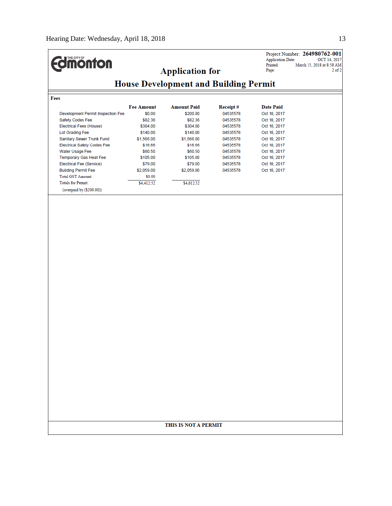**Edinonton** 

Project Number: 264980762-001<br>Application Date: 0CT 14, 2017<br>Printed: March 15, 2018 at 8:58 AM<br>Page: 2 of 2

# **House Development and Building Permit**

**Application for** 

Fees

|                                    | <b>Fee Amount</b> | <b>Amount Paid</b> | Receipt# | Date Paid    |
|------------------------------------|-------------------|--------------------|----------|--------------|
| Development Permit Inspection Fee  | \$0.00            | \$200.00           | 04535578 | Oct 18, 2017 |
| Safety Codes Fee                   | \$82.36           | \$82.36            | 04535578 | Oct 18, 2017 |
| Electrical Fees (House)            | \$304.00          | \$304.00           | 04535578 | Oct 18, 2017 |
| Lot Grading Fee                    | \$140.00          | \$140.00           | 04535578 | Oct 18, 2017 |
| Sanitary Sewer Trunk Fund          | \$1,566.00        | \$1,566.00         | 04535578 | Oct 18, 2017 |
| <b>Electrical Safety Codes Fee</b> | \$16.66           | \$16.66            | 04535578 | Oct 18, 2017 |
| Water Usage Fee                    | \$60.50           | \$60.50            | 04535578 | Oct 18, 2017 |
| Temporary Gas Heat Fee             | \$105.00          | \$105.00           | 04535578 | Oct 18, 2017 |
| Electrical Fee (Service)           | \$79.00           | \$79.00            | 04535578 | Oct 18, 2017 |
| <b>Building Permit Fee</b>         | \$2,059.00        | \$2,059.00         | 04535578 | Oct 18, 2017 |
| <b>Total GST Amount:</b>           | \$0.00            |                    |          |              |
| <b>Totals for Permit:</b>          | \$4,412.52        | \$4,612.52         |          |              |
| (overpaid by (\$200.00))           |                   |                    |          |              |

## THIS IS NOT A PERMIT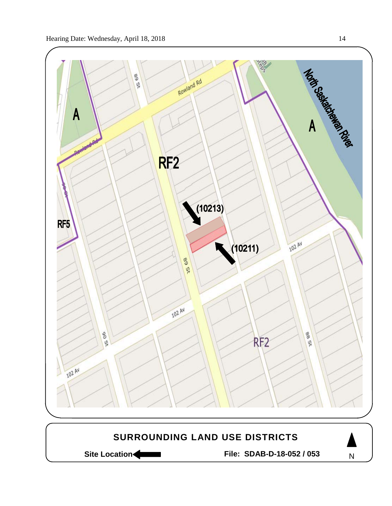

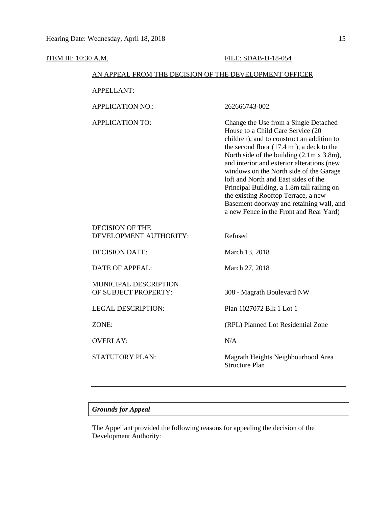| ITEM III: 10:30 A.M.                                   |                                                  | FILE: SDAB-D-18-054                                                                                                                                                                                                                                                                                                                                                                                                                                                                                                                         |  |  |
|--------------------------------------------------------|--------------------------------------------------|---------------------------------------------------------------------------------------------------------------------------------------------------------------------------------------------------------------------------------------------------------------------------------------------------------------------------------------------------------------------------------------------------------------------------------------------------------------------------------------------------------------------------------------------|--|--|
| AN APPEAL FROM THE DECISION OF THE DEVELOPMENT OFFICER |                                                  |                                                                                                                                                                                                                                                                                                                                                                                                                                                                                                                                             |  |  |
|                                                        | <b>APPELLANT:</b>                                |                                                                                                                                                                                                                                                                                                                                                                                                                                                                                                                                             |  |  |
|                                                        | <b>APPLICATION NO.:</b>                          | 262666743-002                                                                                                                                                                                                                                                                                                                                                                                                                                                                                                                               |  |  |
|                                                        | <b>APPLICATION TO:</b>                           | Change the Use from a Single Detached<br>House to a Child Care Service (20<br>children), and to construct an addition to<br>the second floor $(17.4 \text{ m}^2)$ , a deck to the<br>North side of the building (2.1m x 3.8m),<br>and interior and exterior alterations (new<br>windows on the North side of the Garage<br>loft and North and East sides of the<br>Principal Building, a 1.8m tall railing on<br>the existing Rooftop Terrace, a new<br>Basement doorway and retaining wall, and<br>a new Fence in the Front and Rear Yard) |  |  |
|                                                        | <b>DECISION OF THE</b><br>DEVELOPMENT AUTHORITY: | Refused                                                                                                                                                                                                                                                                                                                                                                                                                                                                                                                                     |  |  |
|                                                        | <b>DECISION DATE:</b>                            | March 13, 2018                                                                                                                                                                                                                                                                                                                                                                                                                                                                                                                              |  |  |
|                                                        | <b>DATE OF APPEAL:</b>                           | March 27, 2018                                                                                                                                                                                                                                                                                                                                                                                                                                                                                                                              |  |  |
|                                                        | MUNICIPAL DESCRIPTION<br>OF SUBJECT PROPERTY:    | 308 - Magrath Boulevard NW                                                                                                                                                                                                                                                                                                                                                                                                                                                                                                                  |  |  |
|                                                        | <b>LEGAL DESCRIPTION:</b>                        | Plan 1027072 Blk 1 Lot 1                                                                                                                                                                                                                                                                                                                                                                                                                                                                                                                    |  |  |
|                                                        | ZONE:                                            | (RPL) Planned Lot Residential Zone                                                                                                                                                                                                                                                                                                                                                                                                                                                                                                          |  |  |
|                                                        | <b>OVERLAY:</b>                                  | N/A                                                                                                                                                                                                                                                                                                                                                                                                                                                                                                                                         |  |  |
|                                                        | <b>STATUTORY PLAN:</b>                           | Magrath Heights Neighbourhood Area<br><b>Structure Plan</b>                                                                                                                                                                                                                                                                                                                                                                                                                                                                                 |  |  |

# *Grounds for Appeal*

The Appellant provided the following reasons for appealing the decision of the Development Authority: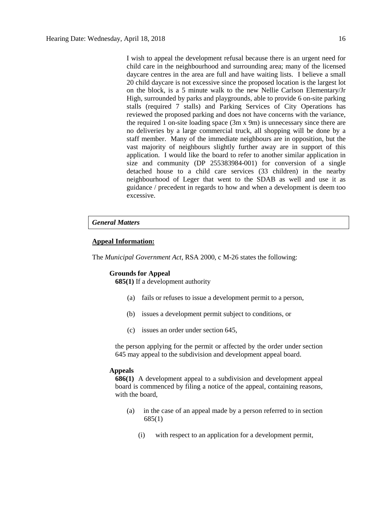I wish to appeal the development refusal because there is an urgent need for child care in the neighbourhood and surrounding area; many of the licensed daycare centres in the area are full and have waiting lists. I believe a small 20 child daycare is not excessive since the proposed location is the largest lot on the block, is a 5 minute walk to the new Nellie Carlson Elementary/Jr High, surrounded by parks and playgrounds, able to provide 6 on-site parking stalls (required 7 stalls) and Parking Services of City Operations has reviewed the proposed parking and does not have concerns with the variance, the required 1 on-site loading space (3m x 9m) is unnecessary since there are no deliveries by a large commercial truck, all shopping will be done by a staff member. Many of the immediate neighbours are in opposition, but the vast majority of neighbours slightly further away are in support of this application. I would like the board to refer to another similar application in size and community (DP 255383984-001) for conversion of a single detached house to a child care services (33 children) in the nearby neighbourhood of Leger that went to the SDAB as well and use it as guidance / precedent in regards to how and when a development is deem too excessive.

### *General Matters*

### **Appeal Information:**

The *Municipal Government Act*, RSA 2000, c M-26 states the following:

## **Grounds for Appeal**

**685(1)** If a development authority

- (a) fails or refuses to issue a development permit to a person,
- (b) issues a development permit subject to conditions, or
- (c) issues an order under section 645,

the person applying for the permit or affected by the order under section 645 may appeal to the subdivision and development appeal board.

### **Appeals**

**686(1)** A development appeal to a subdivision and development appeal board is commenced by filing a notice of the appeal, containing reasons, with the board,

- (a) in the case of an appeal made by a person referred to in section 685(1)
	- (i) with respect to an application for a development permit,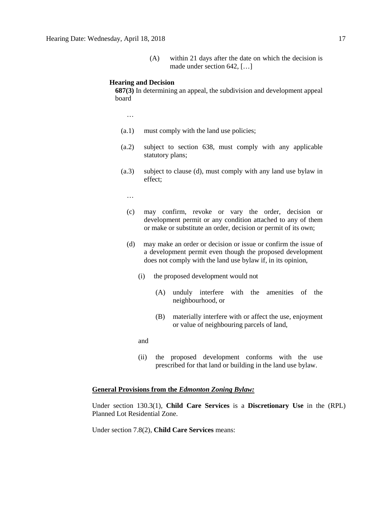(A) within 21 days after the date on which the decision is made under section 642, […]

#### **Hearing and Decision**

**687(3)** In determining an appeal, the subdivision and development appeal board

…

- (a.1) must comply with the land use policies;
- (a.2) subject to section 638, must comply with any applicable statutory plans;
- (a.3) subject to clause (d), must comply with any land use bylaw in effect;

…

- (c) may confirm, revoke or vary the order, decision or development permit or any condition attached to any of them or make or substitute an order, decision or permit of its own;
- (d) may make an order or decision or issue or confirm the issue of a development permit even though the proposed development does not comply with the land use bylaw if, in its opinion,
	- (i) the proposed development would not
		- (A) unduly interfere with the amenities of the neighbourhood, or
		- (B) materially interfere with or affect the use, enjoyment or value of neighbouring parcels of land,

and

(ii) the proposed development conforms with the use prescribed for that land or building in the land use bylaw.

### **General Provisions from the** *Edmonton Zoning Bylaw:*

Under section 130.3(1), **Child Care Services** is a **Discretionary Use** in the (RPL) Planned Lot Residential Zone.

Under section 7.8(2), **Child Care Services** means: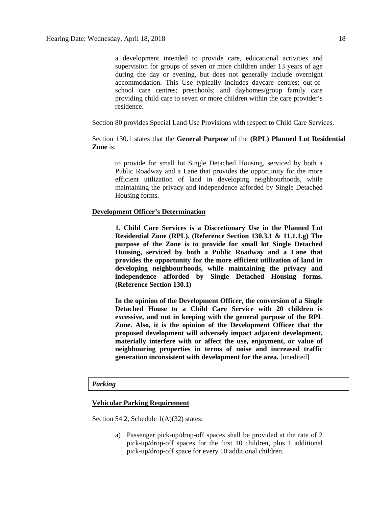a development intended to provide care, educational activities and supervision for groups of seven or more children under 13 years of age during the day or evening, but does not generally include overnight accommodation. This Use typically includes daycare centres; out-ofschool care centres; preschools; and dayhomes/group family care providing child care to seven or more children within the care provider's residence.

Section 80 provides Special Land Use Provisions with respect to Child Care Services.

Section 130.1 states that the **General Purpose** of the **(RPL) Planned Lot Residential Zone** is:

to provide for small lot Single Detached Housing, serviced by both a Public Roadway and a Lane that provides the opportunity for the more efficient utilization of land in developing neighbourhoods, while maintaining the privacy and independence afforded by Single Detached Housing forms.

# **Development Officer's Determination**

**1. Child Care Services is a Discretionary Use in the Planned Lot Residential Zone (RPL). (Reference Section 130.3.1 & 11.1.1.g) The purpose of the Zone is to provide for small lot Single Detached Housing, serviced by both a Public Roadway and a Lane that provides the opportunity for the more efficient utilization of land in developing neighbourhoods, while maintaining the privacy and independence afforded by Single Detached Housing forms. (Reference Section 130.1)**

**In the opinion of the Development Officer, the conversion of a Single Detached House to a Child Care Service with 20 children is excessive, and not in keeping with the general purpose of the RPL Zone. Also, it is the opinion of the Development Officer that the proposed development will adversely impact adjacent development, materially interfere with or affect the use, enjoyment, or value of neighbouring properties in terms of noise and increased traffic generation inconsistent with development for the area.** [unedited]

#### *Parking*

#### **Vehicular Parking Requirement**

Section 54.2, Schedule 1(A)(32) states:

a) Passenger pick-up/drop-off spaces shall be provided at the rate of 2 pick-up/drop-off spaces for the first 10 children, plus 1 additional pick-up/drop-off space for every 10 additional children.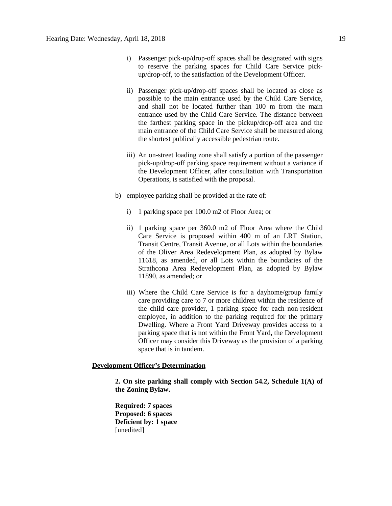- i) Passenger pick-up/drop-off spaces shall be designated with signs to reserve the parking spaces for Child Care Service pickup/drop-off, to the satisfaction of the Development Officer.
- ii) Passenger pick-up/drop-off spaces shall be located as close as possible to the main entrance used by the Child Care Service, and shall not be located further than 100 m from the main entrance used by the Child Care Service. The distance between the farthest parking space in the pickup/drop-off area and the main entrance of the Child Care Service shall be measured along the shortest publically accessible pedestrian route.
- iii) An on-street loading zone shall satisfy a portion of the passenger pick-up/drop-off parking space requirement without a variance if the Development Officer, after consultation with Transportation Operations, is satisfied with the proposal.
- b) employee parking shall be provided at the rate of:
	- i) 1 parking space per 100.0 m2 of Floor Area; or
	- ii) 1 parking space per 360.0 m2 of Floor Area where the Child Care Service is proposed within 400 m of an LRT Station, Transit Centre, Transit Avenue, or all Lots within the boundaries of the Oliver Area Redevelopment Plan, as adopted by Bylaw 11618, as amended, or all Lots within the boundaries of the Strathcona Area Redevelopment Plan, as adopted by Bylaw 11890, as amended; or
	- iii) Where the Child Care Service is for a dayhome/group family care providing care to 7 or more children within the residence of the child care provider, 1 parking space for each non-resident employee, in addition to the parking required for the primary Dwelling. Where a Front Yard Driveway provides access to a parking space that is not within the Front Yard, the Development Officer may consider this Driveway as the provision of a parking space that is in tandem.

### **Development Officer's Determination**

**2. On site parking shall comply with Section 54.2, Schedule 1(A) of the Zoning Bylaw.** 

**Required: 7 spaces Proposed: 6 spaces Deficient by: 1 space** [unedited]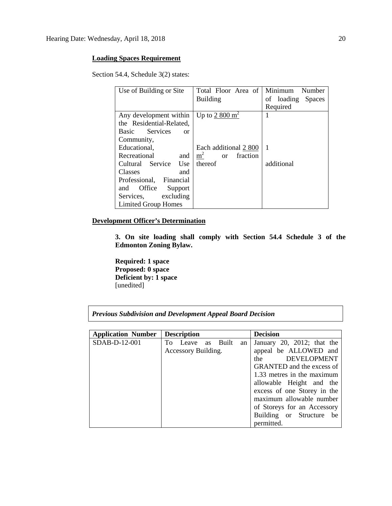# **Loading Spaces Requirement**

Section 54.4, Schedule 3(2) states:

| Use of Building or Site       | Total Floor Area of                         | Minimum<br>Number |
|-------------------------------|---------------------------------------------|-------------------|
|                               | <b>Building</b>                             | of loading Spaces |
|                               |                                             | Required          |
| Any development within        | Up to 2 800 $m2$                            | 1                 |
| the Residential-Related,      |                                             |                   |
| Services<br>Basic<br>$\alpha$ |                                             |                   |
| Community,                    |                                             |                   |
| Educational,                  | Each additional 2 800                       | -1                |
| Recreational<br>and           | m <sup>2</sup><br>fraction<br><sub>or</sub> |                   |
| Cultural Service Use          | thereof                                     | additional        |
| Classes<br>and                |                                             |                   |
| Professional, Financial       |                                             |                   |
| and Office<br>Support         |                                             |                   |
| Services, excluding           |                                             |                   |
| <b>Limited Group Homes</b>    |                                             |                   |

## **Development Officer's Determination**

**3. On site loading shall comply with Section 54.4 Schedule 3 of the Edmonton Zoning Bylaw.**

**Required: 1 space Proposed: 0 space Deficient by: 1 space** [unedited]

| <b>Application Number</b> | <b>Description</b>  |    |         |    | <b>Decision</b>             |
|---------------------------|---------------------|----|---------|----|-----------------------------|
| SDAB-D-12-001             | To Leave            | as | – Built | an | January 20, 2012; that the  |
|                           | Accessory Building. |    |         |    | appeal be ALLOWED and       |
|                           |                     |    |         |    | DEVELOPMENT<br>the          |
|                           |                     |    |         |    | GRANTED and the excess of   |
|                           |                     |    |         |    | 1.33 metres in the maximum  |
|                           |                     |    |         |    | allowable Height and the    |
|                           |                     |    |         |    | excess of one Storey in the |
|                           |                     |    |         |    | maximum allowable number    |
|                           |                     |    |         |    | of Storeys for an Accessory |
|                           |                     |    |         |    | Building or Structure be    |
|                           |                     |    |         |    | permitted.                  |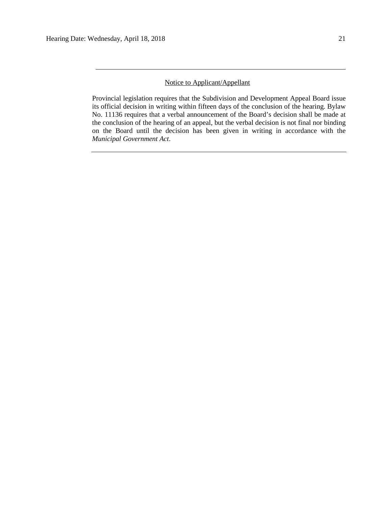### Notice to Applicant/Appellant

Provincial legislation requires that the Subdivision and Development Appeal Board issue its official decision in writing within fifteen days of the conclusion of the hearing. Bylaw No. 11136 requires that a verbal announcement of the Board's decision shall be made at the conclusion of the hearing of an appeal, but the verbal decision is not final nor binding on the Board until the decision has been given in writing in accordance with the *Municipal Government Act*.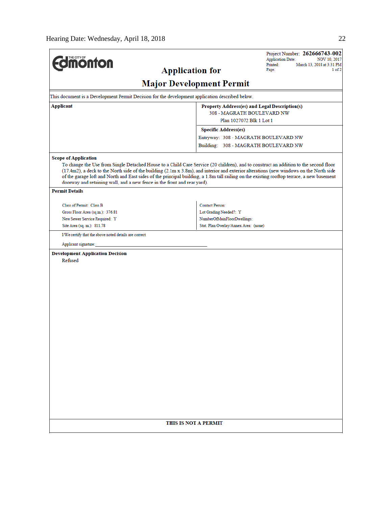| <b>Imonton</b>                                                                                                                                                                                                                                                                                                                                                                                                                                                                                           |                                                                      | Project Number: 262666743-002<br><b>Application Date:</b><br>NOV 10, 2017 |  |  |  |
|----------------------------------------------------------------------------------------------------------------------------------------------------------------------------------------------------------------------------------------------------------------------------------------------------------------------------------------------------------------------------------------------------------------------------------------------------------------------------------------------------------|----------------------------------------------------------------------|---------------------------------------------------------------------------|--|--|--|
| <b>Application for</b>                                                                                                                                                                                                                                                                                                                                                                                                                                                                                   |                                                                      | Printed:<br>March 13, 2018 at 3:31 PM<br>Page:<br>1 of 2                  |  |  |  |
| <b>Major Development Permit</b>                                                                                                                                                                                                                                                                                                                                                                                                                                                                          |                                                                      |                                                                           |  |  |  |
| This document is a Development Permit Decision for the development application described below.                                                                                                                                                                                                                                                                                                                                                                                                          |                                                                      |                                                                           |  |  |  |
| Applicant                                                                                                                                                                                                                                                                                                                                                                                                                                                                                                | Property Address(es) and Legal Description(s)                        |                                                                           |  |  |  |
|                                                                                                                                                                                                                                                                                                                                                                                                                                                                                                          | 308 - MAGRATH BOULEVARD NW<br>Plan 1027072 Blk 1 Lot 1               |                                                                           |  |  |  |
|                                                                                                                                                                                                                                                                                                                                                                                                                                                                                                          | <b>Specific Address(es)</b>                                          |                                                                           |  |  |  |
|                                                                                                                                                                                                                                                                                                                                                                                                                                                                                                          | Entryway: 308 - MAGRATH BOULEVARD NW                                 |                                                                           |  |  |  |
|                                                                                                                                                                                                                                                                                                                                                                                                                                                                                                          | Building: 308 - MAGRATH BOULEVARD NW                                 |                                                                           |  |  |  |
| <b>Scope of Application</b>                                                                                                                                                                                                                                                                                                                                                                                                                                                                              |                                                                      |                                                                           |  |  |  |
| To change the Use from Single Detached House to a Child Care Service (20 children), and to construct an addition to the second floor<br>(17.4m2), a deck to the North side of the building (2.1m x 3.8m), and interior and exterior alterations (new windows on the North side<br>of the garage loft and North and East sides of the principal building, a 1.8m tall railing on the existing rooftop terrace, a new basement<br>doorway and retaining wall, and a new fence in the front and rear yard). |                                                                      |                                                                           |  |  |  |
| <b>Permit Details</b>                                                                                                                                                                                                                                                                                                                                                                                                                                                                                    |                                                                      |                                                                           |  |  |  |
| Class of Permit: Class B                                                                                                                                                                                                                                                                                                                                                                                                                                                                                 | <b>Contact Person:</b>                                               |                                                                           |  |  |  |
| Gross Floor Area (sq.m.): 376.81                                                                                                                                                                                                                                                                                                                                                                                                                                                                         | Lot Grading Needed?: Y                                               |                                                                           |  |  |  |
| New Sewer Service Required: Y<br>Site Area (sq. m.): 811.78                                                                                                                                                                                                                                                                                                                                                                                                                                              | NumberOfMainFloorDwellings:<br>Stat. Plan Overlay/Annex Area: (none) |                                                                           |  |  |  |
|                                                                                                                                                                                                                                                                                                                                                                                                                                                                                                          |                                                                      |                                                                           |  |  |  |
| I/We certify that the above noted details are correct.                                                                                                                                                                                                                                                                                                                                                                                                                                                   |                                                                      |                                                                           |  |  |  |
| Applicant signature:                                                                                                                                                                                                                                                                                                                                                                                                                                                                                     |                                                                      |                                                                           |  |  |  |
| <b>Development Application Decision</b><br>Refused                                                                                                                                                                                                                                                                                                                                                                                                                                                       |                                                                      |                                                                           |  |  |  |
|                                                                                                                                                                                                                                                                                                                                                                                                                                                                                                          |                                                                      |                                                                           |  |  |  |
|                                                                                                                                                                                                                                                                                                                                                                                                                                                                                                          |                                                                      |                                                                           |  |  |  |
|                                                                                                                                                                                                                                                                                                                                                                                                                                                                                                          |                                                                      |                                                                           |  |  |  |
|                                                                                                                                                                                                                                                                                                                                                                                                                                                                                                          |                                                                      |                                                                           |  |  |  |
|                                                                                                                                                                                                                                                                                                                                                                                                                                                                                                          |                                                                      |                                                                           |  |  |  |
|                                                                                                                                                                                                                                                                                                                                                                                                                                                                                                          |                                                                      |                                                                           |  |  |  |
|                                                                                                                                                                                                                                                                                                                                                                                                                                                                                                          |                                                                      |                                                                           |  |  |  |
|                                                                                                                                                                                                                                                                                                                                                                                                                                                                                                          |                                                                      |                                                                           |  |  |  |
|                                                                                                                                                                                                                                                                                                                                                                                                                                                                                                          |                                                                      |                                                                           |  |  |  |
|                                                                                                                                                                                                                                                                                                                                                                                                                                                                                                          |                                                                      |                                                                           |  |  |  |
|                                                                                                                                                                                                                                                                                                                                                                                                                                                                                                          |                                                                      |                                                                           |  |  |  |
|                                                                                                                                                                                                                                                                                                                                                                                                                                                                                                          |                                                                      |                                                                           |  |  |  |
|                                                                                                                                                                                                                                                                                                                                                                                                                                                                                                          |                                                                      |                                                                           |  |  |  |
|                                                                                                                                                                                                                                                                                                                                                                                                                                                                                                          |                                                                      |                                                                           |  |  |  |
|                                                                                                                                                                                                                                                                                                                                                                                                                                                                                                          |                                                                      |                                                                           |  |  |  |
|                                                                                                                                                                                                                                                                                                                                                                                                                                                                                                          |                                                                      |                                                                           |  |  |  |
|                                                                                                                                                                                                                                                                                                                                                                                                                                                                                                          |                                                                      |                                                                           |  |  |  |
|                                                                                                                                                                                                                                                                                                                                                                                                                                                                                                          |                                                                      |                                                                           |  |  |  |
| THIS IS NOT A PERMIT                                                                                                                                                                                                                                                                                                                                                                                                                                                                                     |                                                                      |                                                                           |  |  |  |
|                                                                                                                                                                                                                                                                                                                                                                                                                                                                                                          |                                                                      |                                                                           |  |  |  |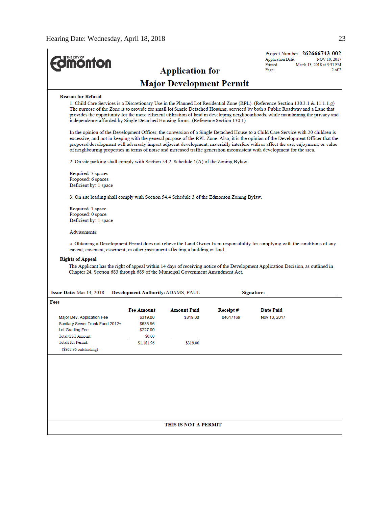| THE CITY OF<br><b>onton</b>                                                                                                                                                                                                                                                                                                                                                                                                                                      |                                                                               | <b>Application for</b>                     |                       | Project Number: 262666743-002<br><b>Application Date:</b><br><b>NOV 10, 2017</b><br>Printed:<br>March 13, 2018 at 3:31 PM<br>$2$ of $2$<br>Page:                                                                                                                                                                                                                                                                                                                                                                                             |  |
|------------------------------------------------------------------------------------------------------------------------------------------------------------------------------------------------------------------------------------------------------------------------------------------------------------------------------------------------------------------------------------------------------------------------------------------------------------------|-------------------------------------------------------------------------------|--------------------------------------------|-----------------------|----------------------------------------------------------------------------------------------------------------------------------------------------------------------------------------------------------------------------------------------------------------------------------------------------------------------------------------------------------------------------------------------------------------------------------------------------------------------------------------------------------------------------------------------|--|
| <b>Major Development Permit</b>                                                                                                                                                                                                                                                                                                                                                                                                                                  |                                                                               |                                            |                       |                                                                                                                                                                                                                                                                                                                                                                                                                                                                                                                                              |  |
| <b>Reason for Refusal</b><br>independence afforded by Single Detached Housing forms. (Reference Section 130.1)                                                                                                                                                                                                                                                                                                                                                   |                                                                               |                                            |                       | 1. Child Care Services is a Discretionary Use in the Planned Lot Residential Zone (RPL). (Reference Section 130.3.1 & 11.1.1.g)<br>The purpose of the Zone is to provide for small lot Single Detached Housing, serviced by both a Public Roadway and a Lane that<br>provides the opportunity for the more efficient utilization of land in developing neighbourhoods, while maintaining the privacy and<br>In the opinion of the Development Officer, the conversion of a Single Detached House to a Child Care Service with 20 children is |  |
| 2. On site parking shall comply with Section 54.2, Schedule 1(A) of the Zoning Bylaw.                                                                                                                                                                                                                                                                                                                                                                            |                                                                               |                                            |                       | excessive, and not in keeping with the general purpose of the RPL Zone. Also, it is the opinion of the Development Officer that the<br>proposed development will adversely impact adjacent development, materially interfere with or affect the use, enjoyment, or value<br>of neighbouring properties in terms of noise and increased traffic generation inconsistent with development for the area.                                                                                                                                        |  |
| Required: 7 spaces<br>Proposed: 6 spaces<br>Deficient by: 1 space                                                                                                                                                                                                                                                                                                                                                                                                |                                                                               |                                            |                       |                                                                                                                                                                                                                                                                                                                                                                                                                                                                                                                                              |  |
| 3. On site loading shall comply with Section 54.4 Schedule 3 of the Edmonton Zoning Bylaw.                                                                                                                                                                                                                                                                                                                                                                       |                                                                               |                                            |                       |                                                                                                                                                                                                                                                                                                                                                                                                                                                                                                                                              |  |
| Required: 1 space<br>Proposed: 0 space<br>Deficient by: 1 space                                                                                                                                                                                                                                                                                                                                                                                                  |                                                                               |                                            |                       |                                                                                                                                                                                                                                                                                                                                                                                                                                                                                                                                              |  |
| Advisements:                                                                                                                                                                                                                                                                                                                                                                                                                                                     |                                                                               |                                            |                       |                                                                                                                                                                                                                                                                                                                                                                                                                                                                                                                                              |  |
| a. Obtaining a Development Permit does not relieve the Land Owner from responsibility for complying with the conditions of any<br>caveat, covenant, easement, or other instrument affecting a building or land.<br><b>Rights of Appeal</b><br>The Applicant has the right of appeal within 14 days of receiving notice of the Development Application Decision, as outlined in<br>Chapter 24, Section 683 through 689 of the Municipal Government Amendment Act. |                                                                               |                                            |                       |                                                                                                                                                                                                                                                                                                                                                                                                                                                                                                                                              |  |
| Issue Date: Mar 13, 2018<br>Development Authority: ADAMS, PAUL<br>Signature:<br>Fees                                                                                                                                                                                                                                                                                                                                                                             |                                                                               |                                            |                       |                                                                                                                                                                                                                                                                                                                                                                                                                                                                                                                                              |  |
| Major Dev. Application Fee<br>Sanitary Sewer Trunk Fund 2012+<br>Lot Grading Fee<br>Total GST Amount:<br><b>Totals for Permit:</b><br>$($862.96$ outstanding)                                                                                                                                                                                                                                                                                                    | <b>Fee Amount</b><br>\$319.00<br>\$635.96<br>\$227.00<br>\$0.00<br>\$1,181.96 | <b>Amount Paid</b><br>\$319.00<br>\$319.00 | Receipt #<br>04617169 | <b>Date Paid</b><br>Nov 10, 2017                                                                                                                                                                                                                                                                                                                                                                                                                                                                                                             |  |
|                                                                                                                                                                                                                                                                                                                                                                                                                                                                  |                                                                               |                                            |                       |                                                                                                                                                                                                                                                                                                                                                                                                                                                                                                                                              |  |
| THIS IS NOT A PERMIT                                                                                                                                                                                                                                                                                                                                                                                                                                             |                                                                               |                                            |                       |                                                                                                                                                                                                                                                                                                                                                                                                                                                                                                                                              |  |